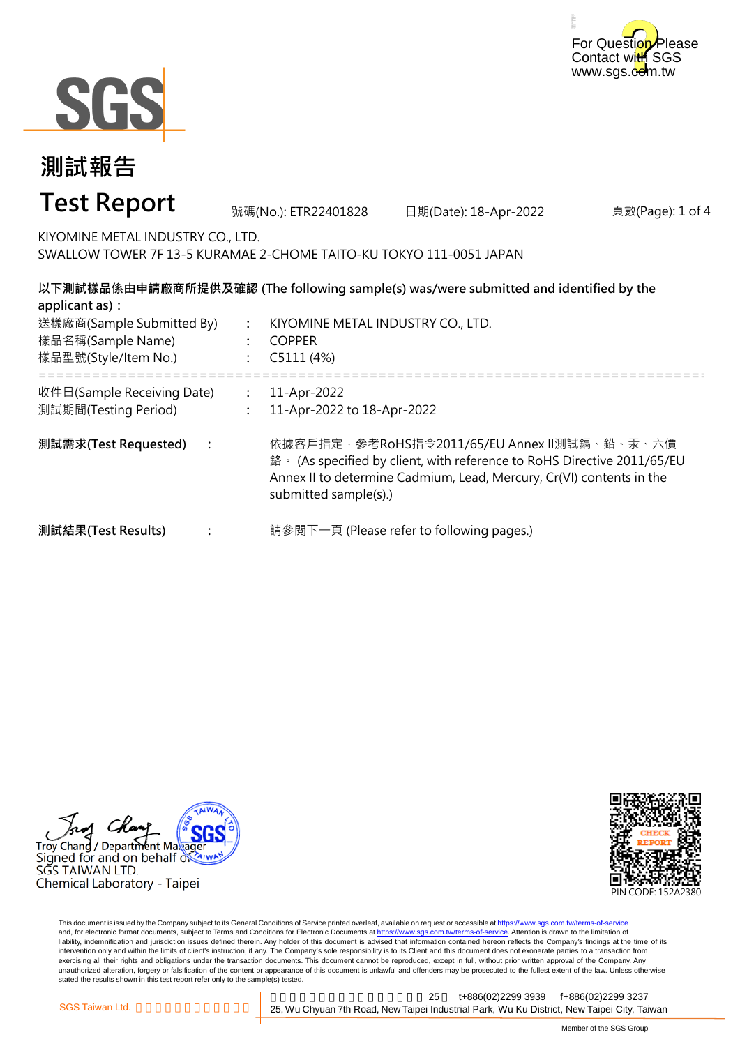



| 測試報告                                                                                                                                                                              |                |                                                                  |                                                                                                                                                                                                 |                  |
|-----------------------------------------------------------------------------------------------------------------------------------------------------------------------------------|----------------|------------------------------------------------------------------|-------------------------------------------------------------------------------------------------------------------------------------------------------------------------------------------------|------------------|
| <b>Test Report</b>                                                                                                                                                                |                | 號碼(No.): ETR22401828                                             | 日期(Date): 18-Apr-2022                                                                                                                                                                           | 頁數(Page): 1 of 4 |
| KIYOMINE METAL INDUSTRY CO., LTD.<br>SWALLOW TOWER 7F 13-5 KURAMAE 2-CHOME TAITO-KU TOKYO 111-0051 JAPAN                                                                          |                |                                                                  |                                                                                                                                                                                                 |                  |
| 以下測試樣品係由申請廠商所提供及確認 (The following sample(s) was/were submitted and identified by the<br>applicant as) :<br>送樣廠商(Sample Submitted By)<br>樣品名稱(Sample Name)<br>樣品型號(Style/Item No.) |                | KIYOMINE METAL INDUSTRY CO., LTD.<br><b>COPPER</b><br>C5111 (4%) |                                                                                                                                                                                                 |                  |
| 收件日(Sample Receiving Date)<br>測試期間(Testing Period)                                                                                                                                | $\ddot{\cdot}$ | 11-Apr-2022<br>11-Apr-2022 to 18-Apr-2022                        |                                                                                                                                                                                                 |                  |
| 測試需求(Test Requested)<br>$\ddot{\cdot}$                                                                                                                                            |                | submitted sample(s).)                                            | 依據客戶指定,參考RoHS指令2011/65/EU Annex Ⅱ測試鎘、鉛、汞、六價<br>鉻 · (As specified by client, with reference to RoHS Directive 2011/65/EU<br>Annex II to determine Cadmium, Lead, Mercury, Cr(VI) contents in the |                  |
| 測試結果(Test Results)                                                                                                                                                                |                |                                                                  | 請參閱下一頁 (Please refer to following pages.)                                                                                                                                                       |                  |





This document is issued by the Company subject to its General Conditions of Service printed overleaf, available on request or accessible at <u>https://www.sgs.com.tw/terms-of-service</u><br>and, for electronic format documents, su liability, indemnification and jurisdiction issues defined therein. Any holder of this document is advised that information contained hereon reflects the Company's findings at the time of its intervention only and within the limits of client's instruction, if any. The Company's sole responsibility is to its Client and this document does not exonerate parties to a transaction from exercising all their rights and obligations under the transaction documents. This document cannot be reproduced, except in full, without prior written approval of the Company. Any<br>unauthorized alteration, forgery or falsif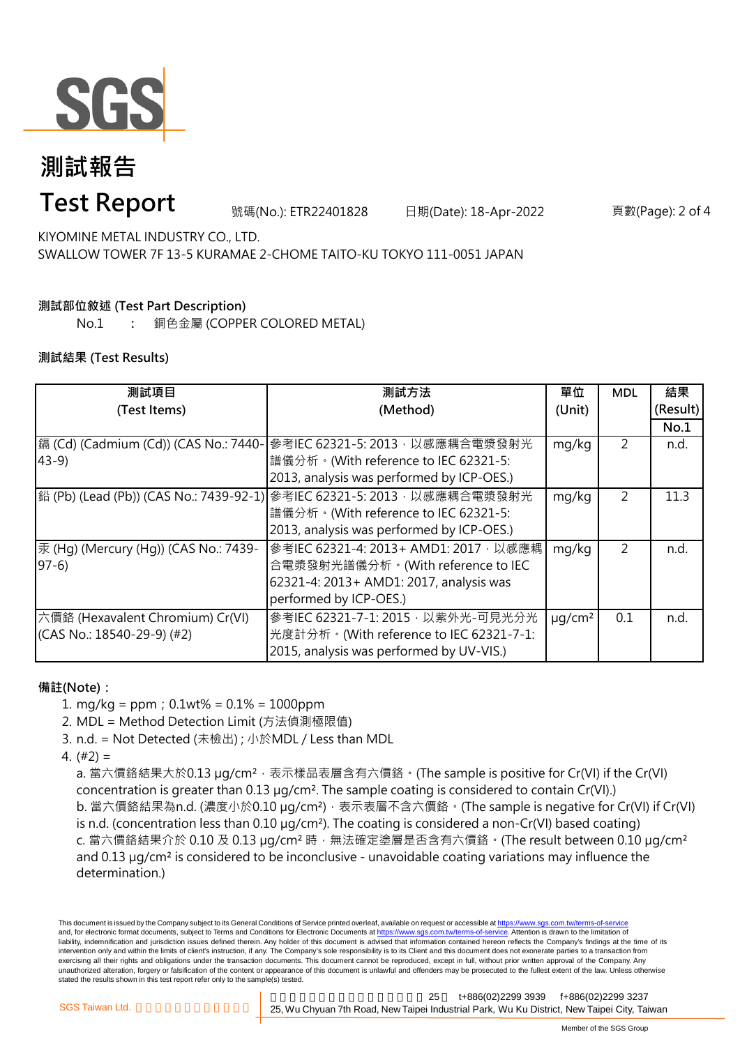

# **測試報告**

### **Test Report**

號碼(No.): ETR22401828 日期(Date): 18-Apr-2022 頁數(Page): 2 of 4

KIYOMINE METAL INDUSTRY CO., LTD. SWALLOW TOWER 7F 13-5 KURAMAE 2-CHOME TAITO-KU TOKYO 111-0051 JAPAN

### **測試部位敘述 (Test Part Description)**

No.1 **:** 銅色金屬 (COPPER COLORED METAL)

#### **測試結果 (Test Results)**

| 測試項目                                  | 測試方法                                                                   | 單位           | <b>MDL</b> | 結果       |
|---------------------------------------|------------------------------------------------------------------------|--------------|------------|----------|
| (Test Items)                          | (Method)                                                               | (Unit)       |            | (Result) |
|                                       |                                                                        |              |            | No.1     |
| 鎘 (Cd) (Cadmium (Cd)) (CAS No.: 7440- | 參考IEC 62321-5: 2013, 以感應耦合電漿發射光                                        | mg/kg        | 2          | n.d.     |
| $43-9$                                | 譜儀分析。(With reference to IEC 62321-5:                                   |              |            |          |
|                                       | 2013, analysis was performed by ICP-OES.)                              |              |            |          |
|                                       | 鉛 (Pb) (Lead (Pb)) (CAS No.: 7439-92-1) 參考IEC 62321-5: 2013,以感應耦合電漿發射光 | mg/kg        | 2          | 11.3     |
|                                       | 譜儀分析。(With reference to IEC 62321-5:                                   |              |            |          |
|                                       | 2013, analysis was performed by ICP-OES.)                              |              |            |          |
| 汞 (Hg) (Mercury (Hg)) (CAS No.: 7439- | 參考IEC 62321-4: 2013+ AMD1: 2017, 以感應耦                                  | mg/kg        | 2          | n.d.     |
| $97-6$                                | 合電漿發射光譜儀分析。(With reference to IEC                                      |              |            |          |
|                                       | 62321-4: 2013+ AMD1: 2017, analysis was                                |              |            |          |
|                                       | performed by ICP-OES.)                                                 |              |            |          |
| 六價鉻 (Hexavalent Chromium) Cr(VI)      | 參考IEC 62321-7-1: 2015, 以紫外光-可見光分光                                      | $\mu q/cm^2$ | 0.1        | n.d.     |
| $(CAS No.: 18540-29-9)$ (#2)          | 光度計分析。(With reference to IEC 62321-7-1:                                |              |            |          |
|                                       | 2015, analysis was performed by UV-VIS.)                               |              |            |          |

#### **備註(Note):**

- 1. mg/kg = ppm;0.1wt% = 0.1% = 1000ppm
- 2. MDL = Method Detection Limit (方法偵測極限值)
- 3. n.d. = Not Detected (未檢出) ; 小於MDL / Less than MDL
- 4. (#2) =

a. 當六價鉻結果大於0.13 μg/cm<sup>2</sup>,表示樣品表層含有六價鉻。(The sample is positive for Cr(VI) if the Cr(VI) concentration is greater than 0.13 µg/cm². The sample coating is considered to contain Cr(VI).) b. 當六價鉻結果為n.d. (濃度小於0.10 μg/cm<sup>2</sup>), 表示表層不含六價鉻。(The sample is negative for Cr(VI) if Cr(VI) is n.d. (concentration less than 0.10 µg/cm²). The coating is considered a non-Cr(VI) based coating) c. 當六價鉻結果介於 0.10 及 0.13 µg/cm² 時,無法確定塗層是否含有六價鉻。(The result between 0.10 µg/cm² and 0.13 µg/cm² is considered to be inconclusive - unavoidable coating variations may influence the determination.)

This document is issued by the Company subject to its General Conditions of Service printed overleaf, available on request or accessible at https://www.sgs.com.tw/terms-of-service and, for electronic format documents, subject to Terms and Conditions for Electronic Documents at https://www.sgs.com.tw/terms-of-service. Attention is drawn to the limitation of liability, indemnification and jurisdiction issues defined therein. Any holder of this document is advised that information contained hereon reflects the Company's findings at the time of its intervention only and within the limits of client's instruction, if any. The Company's sole responsibility is to its Client and this document does not exonerate parties to a transaction from exercising all their rights and obligations under the transaction documents. This document cannot be reproduced, except in full, without prior written approval of the Company. Any unauthorized alteration, forgery or falsification of the content or appearance of this document is unlawful and offenders may be prosecuted to the fullest extent of the law. Unless otherwise stated the results shown in this test report refer only to the sample(s) tested.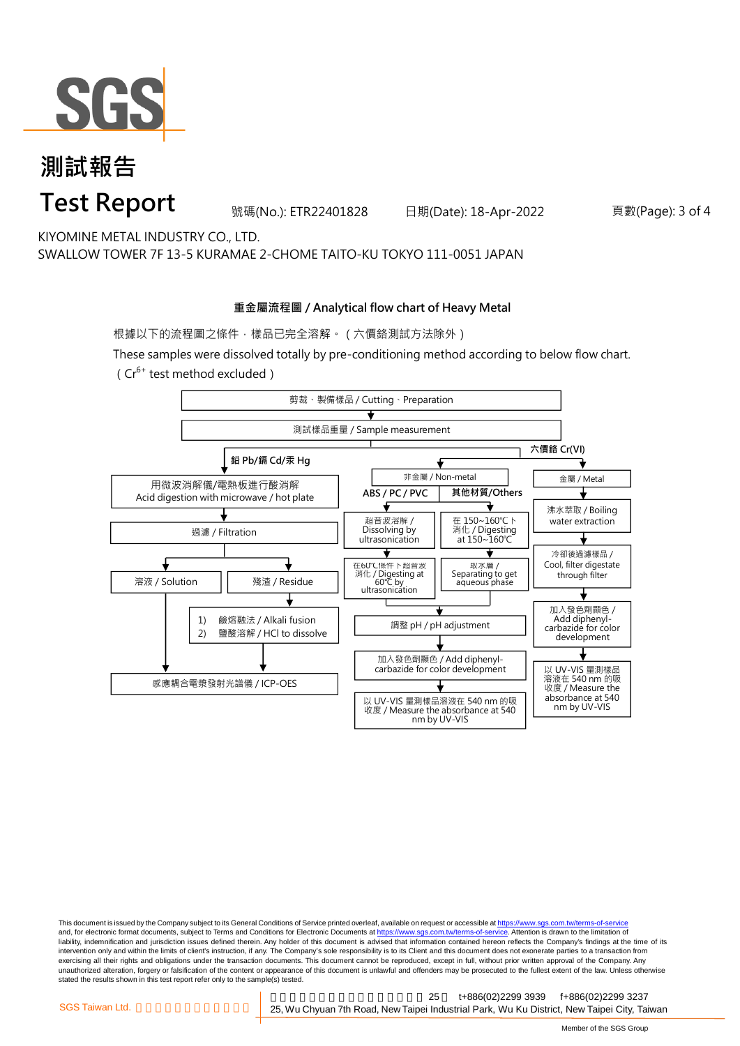

### **測試報告 Test Report**

號碼(No.): ETR22401828 日期(Date): 18-Apr-2022 頁數(Page): 3 of 4

KIYOMINE METAL INDUSTRY CO., LTD. SWALLOW TOWER 7F 13-5 KURAMAE 2-CHOME TAITO-KU TOKYO 111-0051 JAPAN

#### **重金屬流程圖 / Analytical flow chart of Heavy Metal**

根據以下的流程圖之條件,樣品已完全溶解。(六價鉻測試方法除外)

These samples were dissolved totally by pre-conditioning method according to below flow chart. ( $Cr^{6+}$  test method excluded)



This document is issued by the Company subject to its General Conditions of Service printed overleaf, available on request or accessible at https://www.sgs.com.tw/terms-of-service and, for electronic format documents, subject to Terms and Conditions for Electronic Documents at https://www.sgs.com.tw/terms-of-service. Attention is drawn to the limitation of liability, indemnification and jurisdiction issues defined therein. Any holder of this document is advised that information contained hereon reflects the Company's findings at the time of its intervention only and within the limits of client's instruction, if any. The Company's sole responsibility is to its Client and this document does not exonerate parties to a transaction from exercising all their rights and obligations under the transaction documents. This document cannot be reproduced, except in full, without prior written approval of the Company. Any<br>unauthorized alteration, forgery or falsif stated the results shown in this test report refer only to the sample(s) tested.